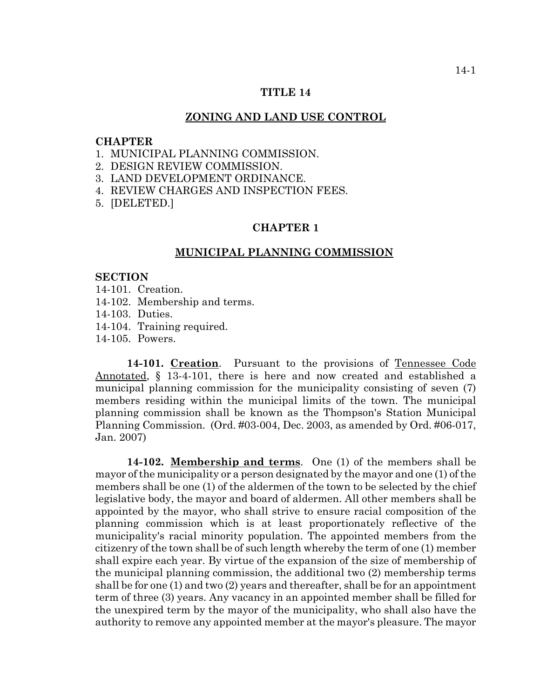# **TITLE 14**

#### **ZONING AND LAND USE CONTROL**

#### **CHAPTER**

- 1. MUNICIPAL PLANNING COMMISSION.
- 2. DESIGN REVIEW COMMISSION.
- 3. LAND DEVELOPMENT ORDINANCE.
- 4. REVIEW CHARGES AND INSPECTION FEES.
- 5. [DELETED.]

### **CHAPTER 1**

#### **MUNICIPAL PLANNING COMMISSION**

#### **SECTION**

- 14-101. Creation.
- 14-102. Membership and terms.
- 14-103. Duties.
- 14-104. Training required.
- 14-105. Powers.

14-101. Creation. Pursuant to the provisions of Tennessee Code Annotated, § 13-4-101, there is here and now created and established a municipal planning commission for the municipality consisting of seven (7) members residing within the municipal limits of the town. The municipal planning commission shall be known as the Thompson's Station Municipal Planning Commission. (Ord. #03-004, Dec. 2003, as amended by Ord. #06-017, Jan. 2007)

**14-102. Membership and terms**. One (1) of the members shall be mayor of the municipality or a person designated by the mayor and one (1) of the members shall be one (1) of the aldermen of the town to be selected by the chief legislative body, the mayor and board of aldermen. All other members shall be appointed by the mayor, who shall strive to ensure racial composition of the planning commission which is at least proportionately reflective of the municipality's racial minority population. The appointed members from the citizenry of the town shall be of such length whereby the term of one (1) member shall expire each year. By virtue of the expansion of the size of membership of the municipal planning commission, the additional two (2) membership terms shall be for one (1) and two (2) years and thereafter, shall be for an appointment term of three (3) years. Any vacancy in an appointed member shall be filled for the unexpired term by the mayor of the municipality, who shall also have the authority to remove any appointed member at the mayor's pleasure. The mayor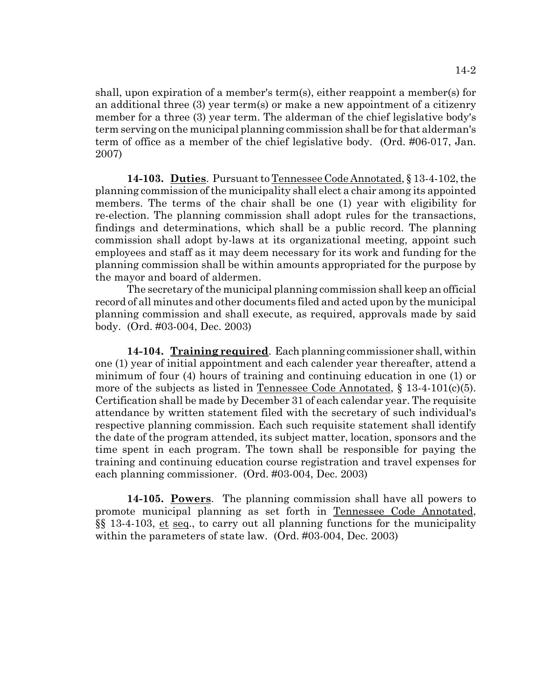shall, upon expiration of a member's term(s), either reappoint a member(s) for an additional three (3) year term(s) or make a new appointment of a citizenry member for a three (3) year term. The alderman of the chief legislative body's term serving on the municipal planning commission shall be for that alderman's term of office as a member of the chief legislative body. (Ord. #06-017, Jan. 2007)

**14-103. Duties**. Pursuant to Tennessee Code Annotated, § 13-4-102, the planning commission of the municipality shall elect a chair among its appointed members. The terms of the chair shall be one (1) year with eligibility for re-election. The planning commission shall adopt rules for the transactions, findings and determinations, which shall be a public record. The planning commission shall adopt by-laws at its organizational meeting, appoint such employees and staff as it may deem necessary for its work and funding for the planning commission shall be within amounts appropriated for the purpose by the mayor and board of aldermen.

The secretary of the municipal planning commission shall keep an official record of all minutes and other documents filed and acted upon by the municipal planning commission and shall execute, as required, approvals made by said body. (Ord. #03-004, Dec. 2003)

**14-104. Training required**. Each planning commissioner shall, within one (1) year of initial appointment and each calender year thereafter, attend a minimum of four (4) hours of training and continuing education in one (1) or more of the subjects as listed in Tennessee Code Annotated,  $\S$  13-4-101(c)(5). Certification shall be made by December 31 of each calendar year. The requisite attendance by written statement filed with the secretary of such individual's respective planning commission. Each such requisite statement shall identify the date of the program attended, its subject matter, location, sponsors and the time spent in each program. The town shall be responsible for paying the training and continuing education course registration and travel expenses for each planning commissioner. (Ord. #03-004, Dec. 2003)

**14-105. Powers**. The planning commission shall have all powers to promote municipal planning as set forth in Tennessee Code Annotated, §§ 13-4-103, et seq., to carry out all planning functions for the municipality within the parameters of state law. (Ord. #03-004, Dec. 2003)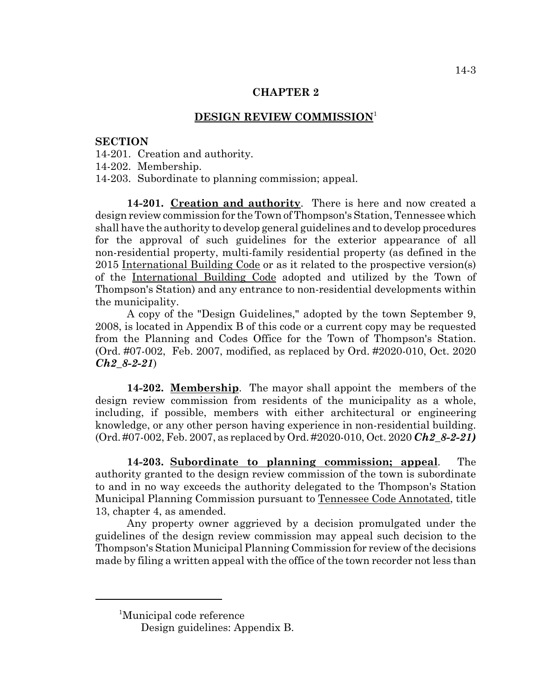## **DESIGN REVIEW COMMISSION**<sup>1</sup>

#### **SECTION**

14-201. Creation and authority.

14-202. Membership.

14-203. Subordinate to planning commission; appeal.

**14-201. Creation and authority**. There is here and now created a design review commission for the Town of Thompson's Station, Tennessee which shall have the authority to develop general guidelines and to develop procedures for the approval of such guidelines for the exterior appearance of all non-residential property, multi-family residential property (as defined in the 2015 International Building Code or as it related to the prospective version(s) of the International Building Code adopted and utilized by the Town of Thompson's Station) and any entrance to non-residential developments within the municipality.

A copy of the "Design Guidelines," adopted by the town September 9, 2008, is located in Appendix B of this code or a current copy may be requested from the Planning and Codes Office for the Town of Thompson's Station. (Ord. #07-002, Feb. 2007, modified, as replaced by Ord. #2020-010, Oct. 2020 *Ch2\_8-2-21*)

**14-202. Membership**. The mayor shall appoint the members of the design review commission from residents of the municipality as a whole, including, if possible, members with either architectural or engineering knowledge, or any other person having experience in non-residential building. (Ord. #07-002, Feb. 2007, as replaced by Ord. #2020-010, Oct. 2020 *Ch2\_8-2-21)*

**14-203. Subordinate to planning commission; appeal**. The authority granted to the design review commission of the town is subordinate to and in no way exceeds the authority delegated to the Thompson's Station Municipal Planning Commission pursuant to Tennessee Code Annotated, title 13, chapter 4, as amended.

Any property owner aggrieved by a decision promulgated under the guidelines of the design review commission may appeal such decision to the Thompson's Station Municipal Planning Commission for review of the decisions made by filing a written appeal with the office of the town recorder not less than

<sup>1</sup> Municipal code reference

Design guidelines: Appendix B.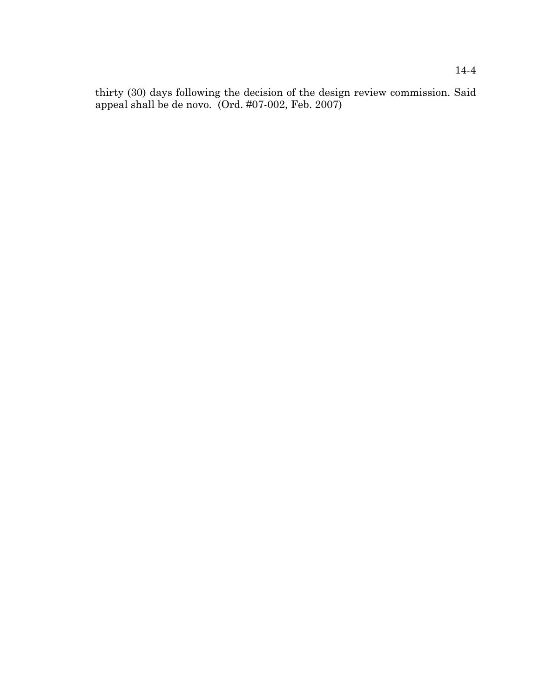thirty (30) days following the decision of the design review commission. Said appeal shall be de novo. (Ord. #07-002, Feb. 2007)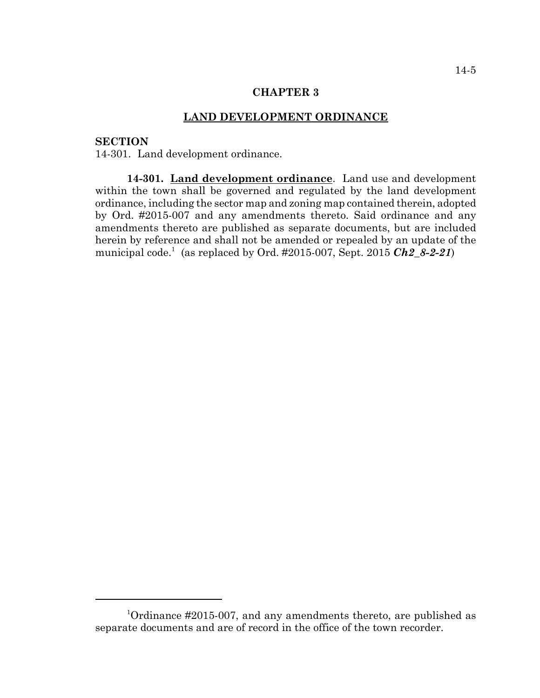#### **LAND DEVELOPMENT ORDINANCE**

# **SECTION**

14-301. Land development ordinance.

**14-301. Land development ordinance**. Land use and development within the town shall be governed and regulated by the land development ordinance, including the sector map and zoning map contained therein, adopted by Ord. #2015-007 and any amendments thereto. Said ordinance and any amendments thereto are published as separate documents, but are included herein by reference and shall not be amended or repealed by an update of the municipal code.<sup>1</sup> (as replaced by Ord. #2015-007, Sept. 2015 *Ch2\_8-2-21*)

<sup>&</sup>lt;sup>1</sup>Ordinance #2015-007, and any amendments thereto, are published as separate documents and are of record in the office of the town recorder.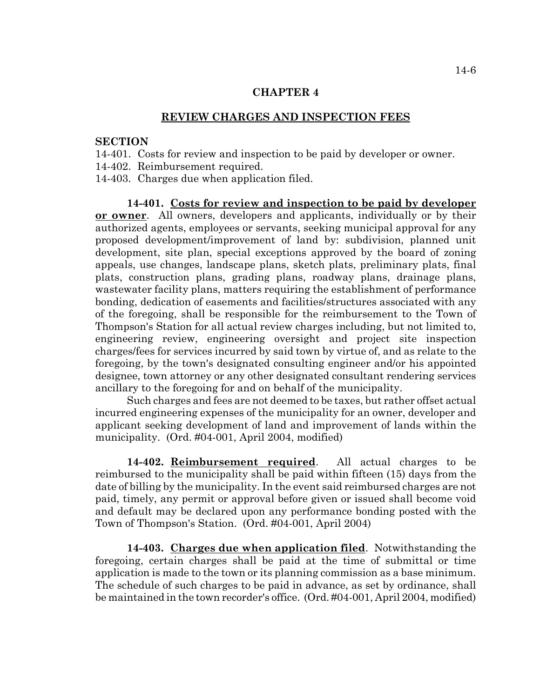#### **REVIEW CHARGES AND INSPECTION FEES**

#### **SECTION**

14-401. Costs for review and inspection to be paid by developer or owner.

14-402. Reimbursement required.

14-403. Charges due when application filed.

**14-401. Costs for review and inspection to be paid by developer or owner**. All owners, developers and applicants, individually or by their authorized agents, employees or servants, seeking municipal approval for any proposed development/improvement of land by: subdivision, planned unit development, site plan, special exceptions approved by the board of zoning appeals, use changes, landscape plans, sketch plats, preliminary plats, final plats, construction plans, grading plans, roadway plans, drainage plans, wastewater facility plans, matters requiring the establishment of performance bonding, dedication of easements and facilities/structures associated with any of the foregoing, shall be responsible for the reimbursement to the Town of Thompson's Station for all actual review charges including, but not limited to, engineering review, engineering oversight and project site inspection charges/fees for services incurred by said town by virtue of, and as relate to the foregoing, by the town's designated consulting engineer and/or his appointed designee, town attorney or any other designated consultant rendering services ancillary to the foregoing for and on behalf of the municipality.

Such charges and fees are not deemed to be taxes, but rather offset actual incurred engineering expenses of the municipality for an owner, developer and applicant seeking development of land and improvement of lands within the municipality. (Ord. #04-001, April 2004, modified)

**14-402. Reimbursement required**. All actual charges to be reimbursed to the municipality shall be paid within fifteen (15) days from the date of billing by the municipality. In the event said reimbursed charges are not paid, timely, any permit or approval before given or issued shall become void and default may be declared upon any performance bonding posted with the Town of Thompson's Station. (Ord. #04-001, April 2004)

**14-403. Charges due when application filed**. Notwithstanding the foregoing, certain charges shall be paid at the time of submittal or time application is made to the town or its planning commission as a base minimum. The schedule of such charges to be paid in advance, as set by ordinance, shall be maintained in the town recorder's office. (Ord. #04-001, April 2004, modified)